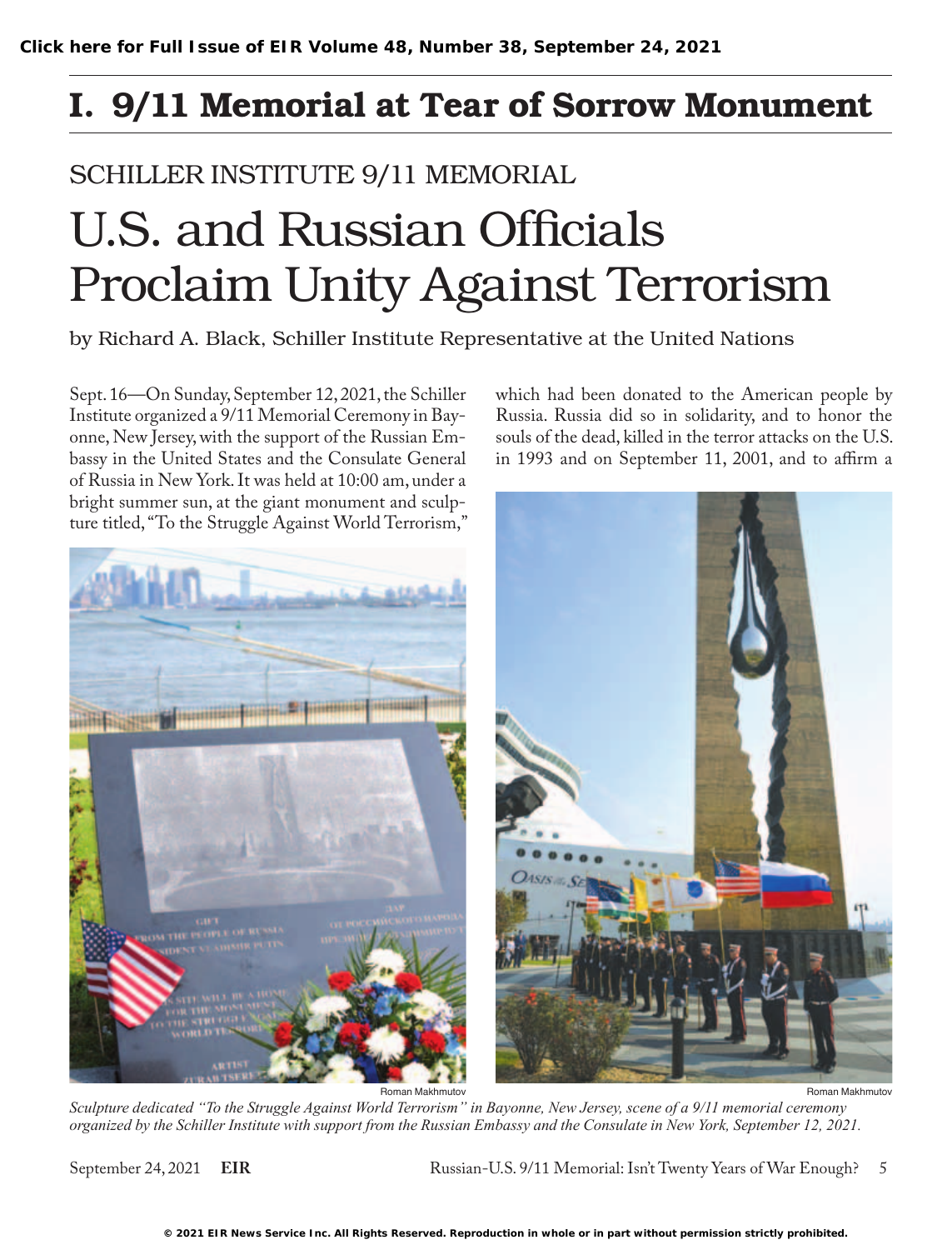## I. 9/11 Memorial at Tear of Sorrow Monument

## SCHILLER INSTITUTE 9/11 MEMORIAL

# U.S. and Russian Officials Proclaim Unity Against Terrorism

by Richard A. Black, Schiller Institute Representative at the United Nations

Sept. 16—On Sunday, September 12, 2021, the Schiller Institute organized a 9/11 Memorial Ceremony in Bayonne, New Jersey, with the support of the Russian Embassy in the United States and the Consulate General of Russia in New York. It was held at 10:00 am, under a bright summer sun, at the giant monument and sculpwhich had been donated to the American people by Russia. Russia did so in solidarity, and to honor the souls of the dead, killed in the terror attacks on the U.S. in 1993 and on September 11, 2001, and to affirm a



Roman Makhmutov

*Sculpture dedicated "To the Struggle Against World Terrorism" in Bayonne, New Jersey, scene of a 9/11 memorial ceremony organized by the Schiller Institute with support from the Russian Embassy and the Consulate in New York, September 12, 2021.* Roman Makhmutov

September 24, 2021 **EIR** Russian-U.S. 9/11 Memorial: Isn't Twenty Years of War Enough? 5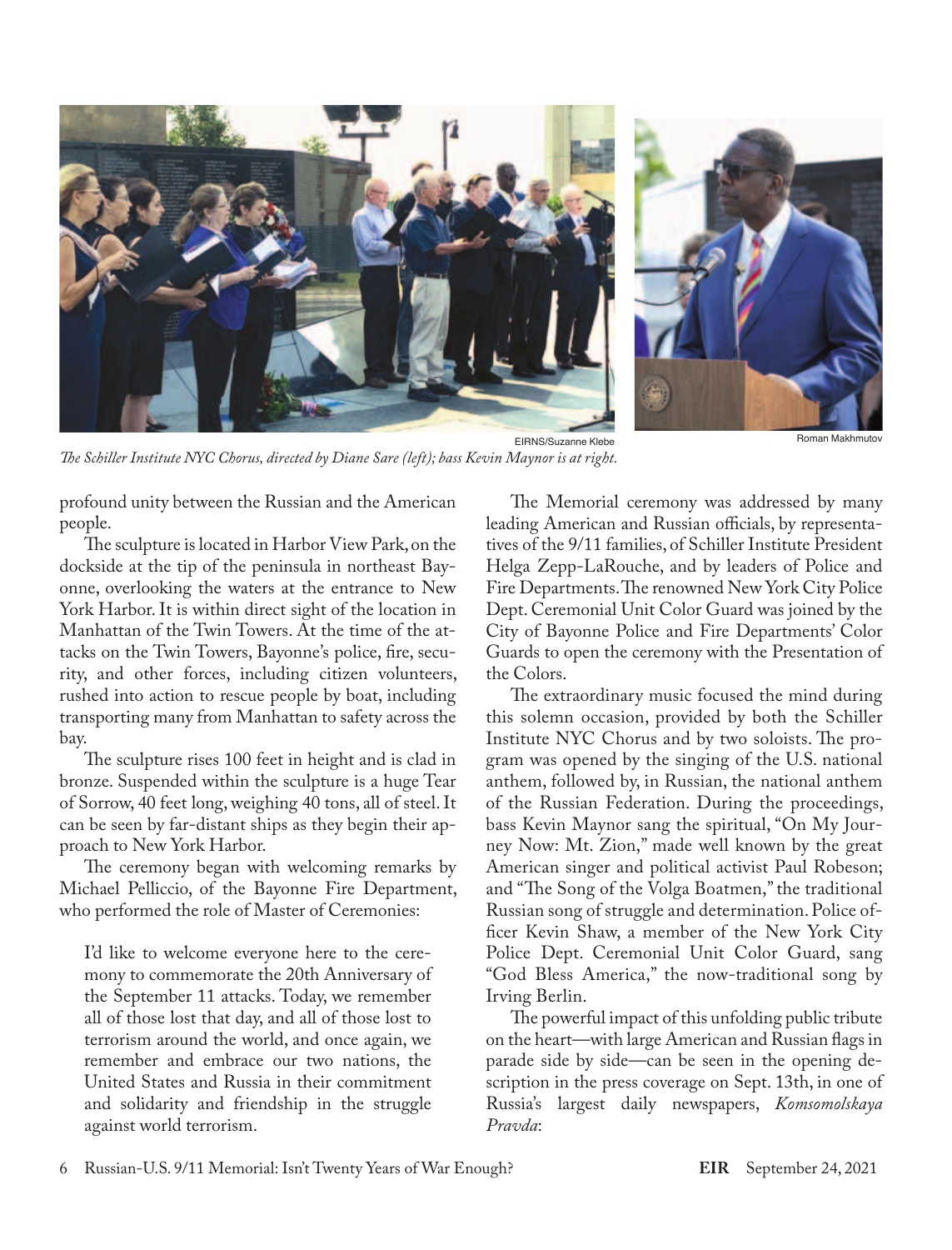



*The Schiller Institute NYC Chorus, directed by Diane Sare (left); bass Kevin Maynor is at right.*

Roman Makhmutov

profound unity between the Russian and the American people.

The sculpture is located in Harbor View Park, on the dockside at the tip of the peninsula in northeast Bayonne, overlooking the waters at the entrance to New York Harbor. It is within direct sight of the location in Manhattan of the Twin Towers. At the time of the attacks on the Twin Towers, Bayonne's police, fire, security, and other forces, including citizen volunteers, rushed into action to rescue people by boat, including transporting many from Manhattan to safety across the bay.

The sculpture rises 100 feet in height and is clad in bronze. Suspended within the sculpture is a huge Tear of Sorrow, 40 feet long, weighing 40 tons, all of steel. It can be seen by far-distant ships as they begin their approach to New York Harbor.

The ceremony began with welcoming remarks by Michael Pelliccio, of the Bayonne Fire Department, who performed the role of Master of Ceremonies:

I'd like to welcome everyone here to the ceremony to commemorate the 20th Anniversary of the September 11 attacks. Today, we remember all of those lost that day, and all of those lost to terrorism around the world, and once again, we remember and embrace our two nations, the United States and Russia in their commitment and solidarity and friendship in the struggle against world terrorism.

The Memorial ceremony was addressed by many leading American and Russian officials, by representatives of the 9/11 families, of Schiller Institute President Helga Zepp-LaRouche, and by leaders of Police and Fire Departments. The renowned New York City Police Dept. Ceremonial Unit Color Guard was joined by the City of Bayonne Police and Fire Departments' Color Guards to open the ceremony with the Presentation of the Colors.

The extraordinary music focused the mind during this solemn occasion, provided by both the Schiller Institute NYC Chorus and by two soloists. The program was opened by the singing of the U.S. national anthem, followed by, in Russian, the national anthem of the Russian Federation. During the proceedings, bass Kevin Maynor sang the spiritual, "On My Journey Now: Mt. Zion," made well known by the great American singer and political activist Paul Robeson; and "The Song of the Volga Boatmen," the traditional Russian song of struggle and determination. Police officer Kevin Shaw, a member of the New York City Police Dept. Ceremonial Unit Color Guard, sang "God Bless America," the now-traditional song by Irving Berlin.

The powerful impact of this unfolding public tribute on the heart—with large American and Russian flags in parade side by side—can be seen in the opening description in the press coverage on Sept. 13th, in one of Russia's largest daily newspapers, *Komsomolskaya Pravda*: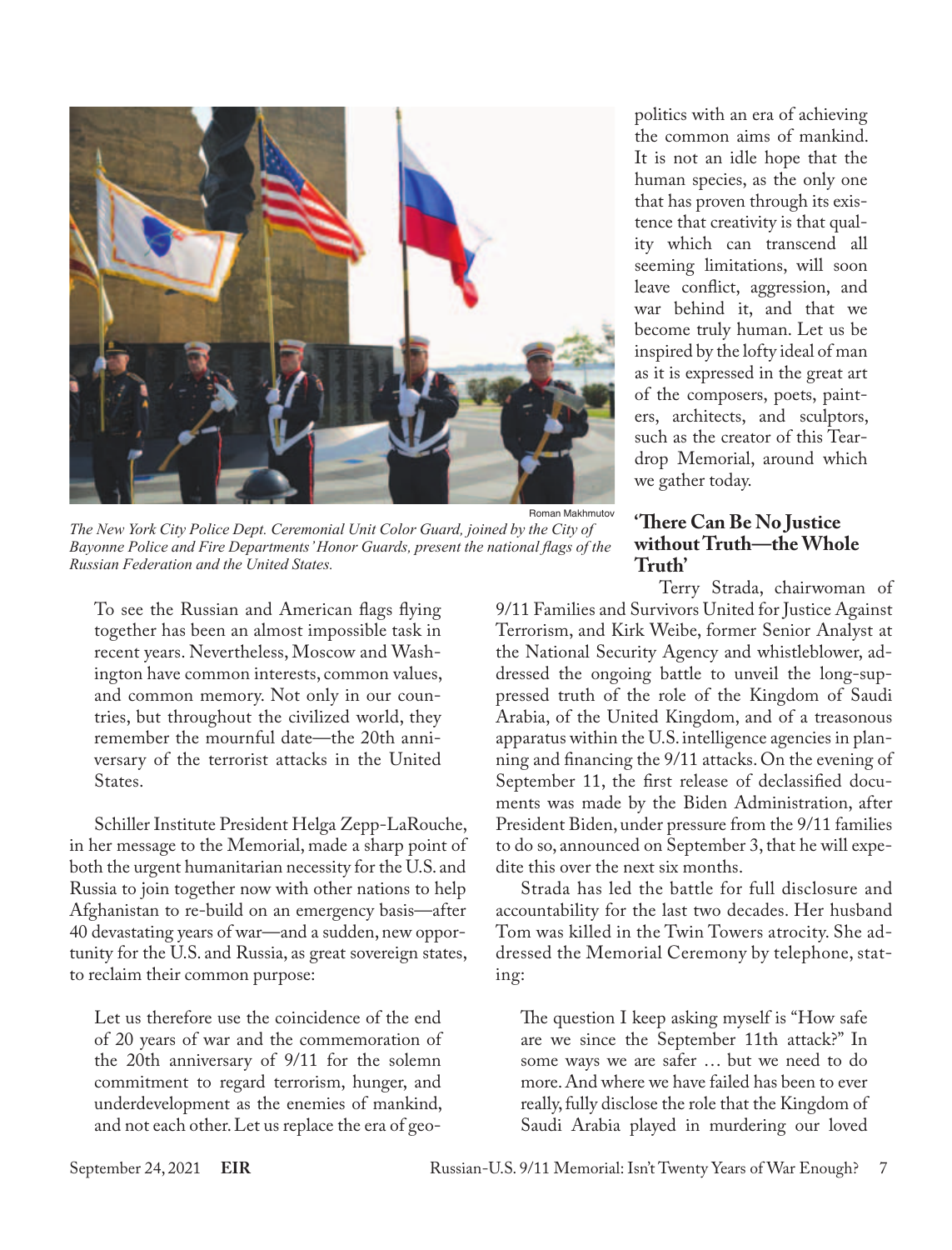

*The New York City Police Dept. Ceremonial Unit Color Guard, joined by the City of Bayonne Police and Fire Departments' Honor Guards, present the national flags of the Russian Federation and the United States.*

To see the Russian and American flags flying together has been an almost impossible task in recent years. Nevertheless, Moscow and Washington have common interests, common values, and common memory. Not only in our countries, but throughout the civilized world, they remember the mournful date—the 20th anniversary of the terrorist attacks in the United States.

Schiller Institute President Helga Zepp-LaRouche, in her message to the Memorial, made a sharp point of both the urgent humanitarian necessity for the U.S. and Russia to join together now with other nations to help Afghanistan to re-build on an emergency basis—after 40 devastating years of war—and a sudden, new opportunity for the U.S. and Russia, as great sovereign states, to reclaim their common purpose:

Let us therefore use the coincidence of the end of 20 years of war and the commemoration of the 20th anniversary of 9/11 for the solemn commitment to regard terrorism, hunger, and underdevelopment as the enemies of mankind, and not each other. Let us replace the era of geopolitics with an era of achieving the common aims of mankind. It is not an idle hope that the human species, as the only one that has proven through its existence that creativity is that quality which can transcend all seeming limitations, will soon leave conflict, aggression, and war behind it, and that we become truly human. Let us be inspired by the lofty ideal of man as it is expressed in the great art of the composers, poets, painters, architects, and sculptors, such as the creator of this Teardrop Memorial, around which we gather today.

#### **'There Can Be No Justice without Truth—the Whole Truth'**

Terry Strada, chairwoman of 9/11 Families and Survivors United for Justice Against Terrorism, and Kirk Weibe, former Senior Analyst at the National Security Agency and whistleblower, addressed the ongoing battle to unveil the long-suppressed truth of the role of the Kingdom of Saudi Arabia, of the United Kingdom, and of a treasonous apparatus within the U.S. intelligence agencies in planning and financing the 9/11 attacks. On the evening of September 11, the first release of declassified documents was made by the Biden Administration, after President Biden, under pressure from the 9/11 families to do so, announced on September 3, that he will expedite this over the next six months.

Strada has led the battle for full disclosure and accountability for the last two decades. Her husband Tom was killed in the Twin Towers atrocity. She addressed the Memorial Ceremony by telephone, stating:

The question I keep asking myself is "How safe are we since the September 11th attack?" In some ways we are safer … but we need to do more. And where we have failed has been to ever really, fully disclose the role that the Kingdom of Saudi Arabia played in murdering our loved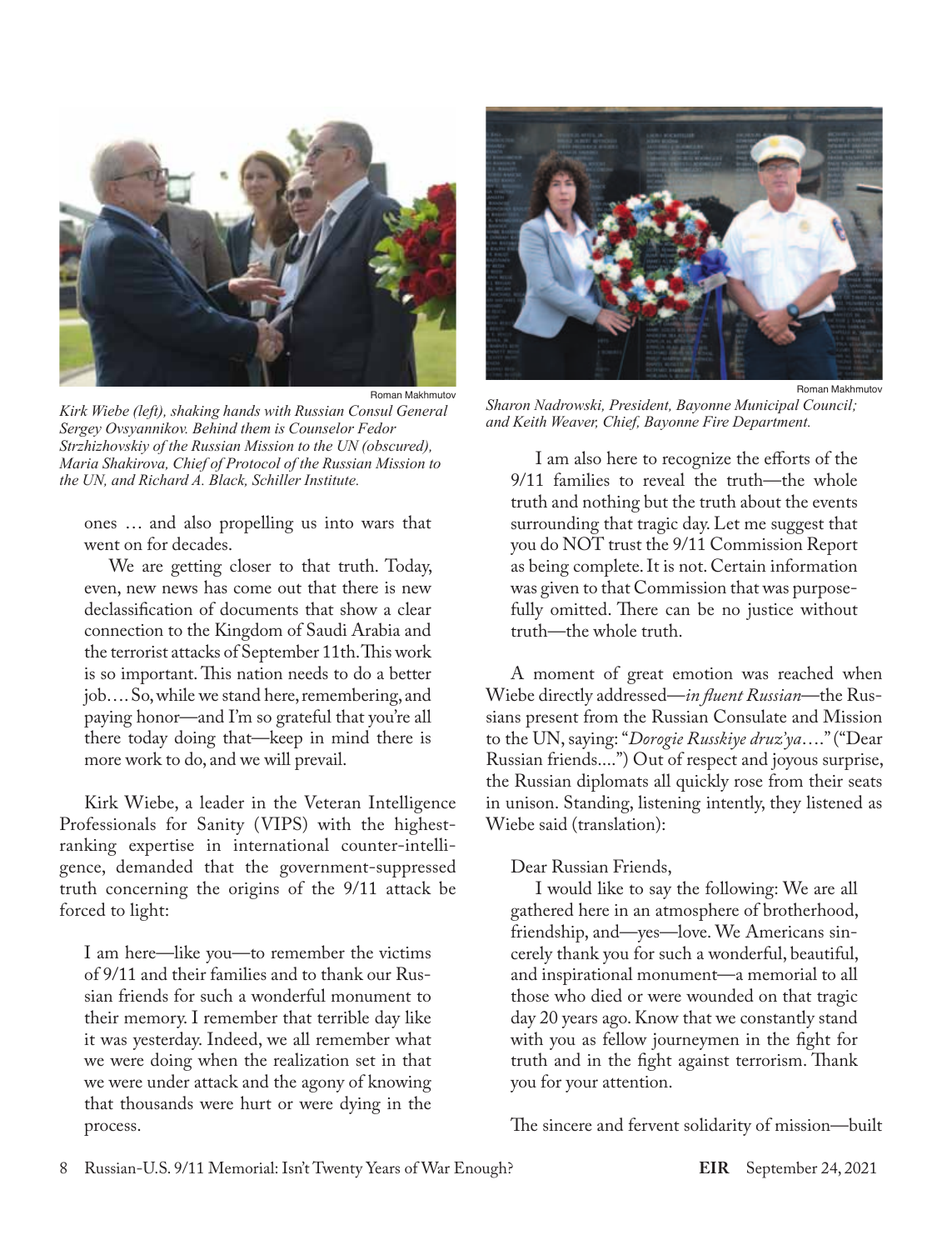

*Kirk Wiebe (left), shaking hands with Russian Consul General Sergey Ovsyannikov. Behind them is Counselor Fedor Strzhizhovskiy of the Russian Mission to the UN (obscured), Maria Shakirova, Chief of Protocol of the Russian Mission to the UN, and Richard A. Black, Schiller Institute.*

ones … and also propelling us into wars that went on for decades.

We are getting closer to that truth. Today, even, new news has come out that there is new declassification of documents that show a clear connection to the Kingdom of Saudi Arabia and the terrorist attacks of September 11th. This work is so important. This nation needs to do a better job…. So, while we stand here, remembering, and paying honor—and I'm so grateful that you're all there today doing that—keep in mind there is more work to do, and we will prevail.

Kirk Wiebe, a leader in the Veteran Intelligence Professionals for Sanity (VIPS) with the highestranking expertise in international counter-intelligence, demanded that the government-suppressed truth concerning the origins of the 9/11 attack be forced to light:

I am here—like you—to remember the victims of 9/11 and their families and to thank our Russian friends for such a wonderful monument to their memory. I remember that terrible day like it was yesterday. Indeed, we all remember what we were doing when the realization set in that we were under attack and the agony of knowing that thousands were hurt or were dying in the process.



*Sharon Nadrowski, President, Bayonne Municipal Council; and Keith Weaver, Chief, Bayonne Fire Department.*

I am also here to recognize the efforts of the 9/11 families to reveal the truth—the whole truth and nothing but the truth about the events surrounding that tragic day. Let me suggest that you do NOT trust the 9/11 Commission Report as being complete. It is not. Certain information was given to that Commission that was purposefully omitted. There can be no justice without truth—the whole truth.

A moment of great emotion was reached when Wiebe directly addressed—*in fluent Russian*—the Russians present from the Russian Consulate and Mission to the UN, saying: "*Dorogie Russkiye druz'ya*…." ("Dear Russian friends....") Out of respect and joyous surprise, the Russian diplomats all quickly rose from their seats in unison. Standing, listening intently, they listened as Wiebe said (translation):

#### Dear Russian Friends,

I would like to say the following: We are all gathered here in an atmosphere of brotherhood, friendship, and—yes—love. We Americans sincerely thank you for such a wonderful, beautiful, and inspirational monument—a memorial to all those who died or were wounded on that tragic day 20 years ago. Know that we constantly stand with you as fellow journeymen in the fight for truth and in the fight against terrorism. Thank you for your attention.

The sincere and fervent solidarity of mission—built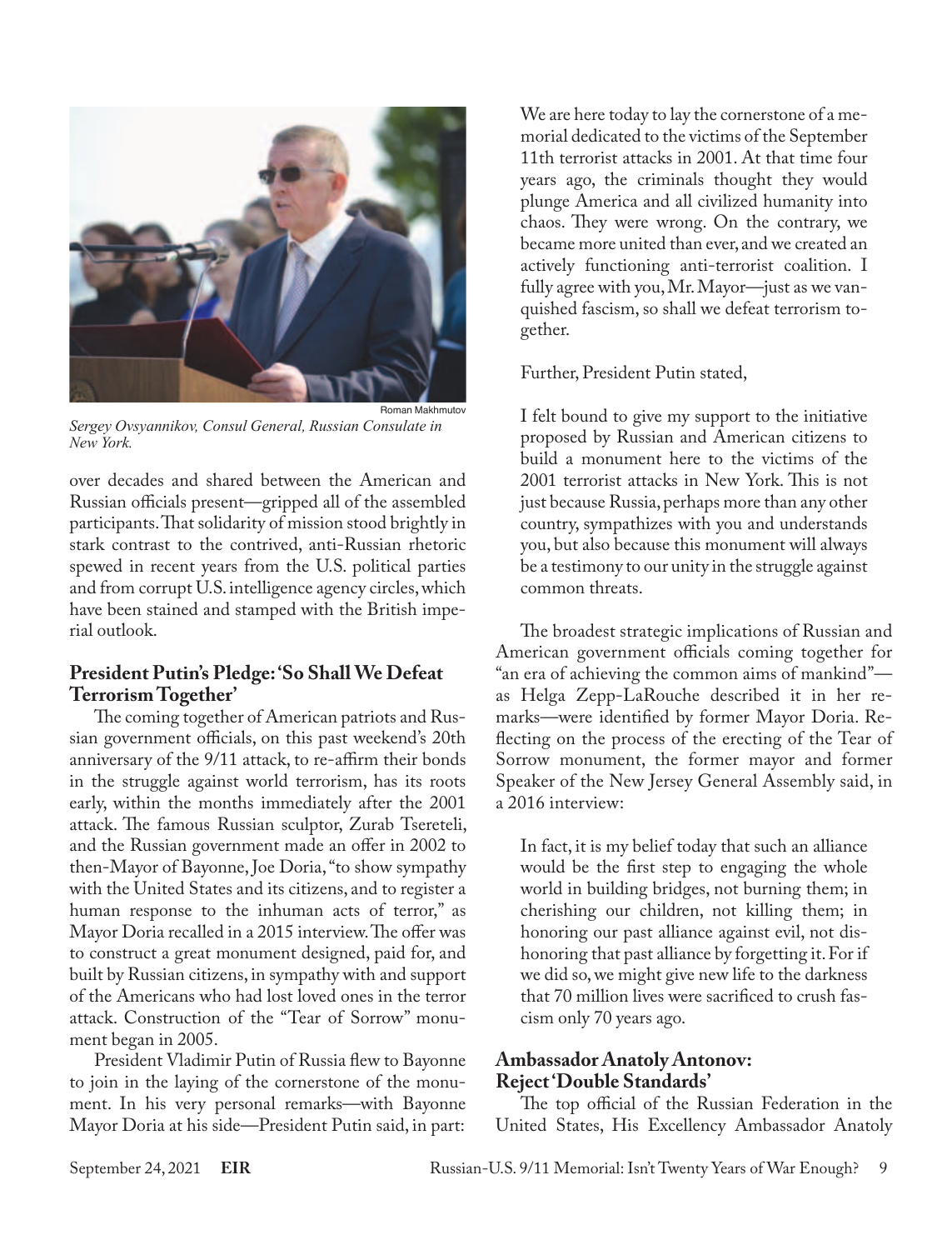

*Sergey Ovsyannikov, Consul General, Russian Consulate in New York.*

over decades and shared between the American and Russian officials present—gripped all of the assembled participants. That solidarity of mission stood brightly in stark contrast to the contrived, anti-Russian rhetoric spewed in recent years from the U.S. political parties and from corrupt U.S. intelligence agency circles, which have been stained and stamped with the British imperial outlook.

#### **President Putin's Pledge: 'So Shall We Defeat Terrorism Together'**

The coming together of American patriots and Russian government officials, on this past weekend's 20th anniversary of the 9/11 attack, to re-affirm their bonds in the struggle against world terrorism, has its roots early, within the months immediately after the 2001 attack. The famous Russian sculptor, Zurab Tsereteli, and the Russian government made an offer in 2002 to then-Mayor of Bayonne, Joe Doria, "to show sympathy with the United States and its citizens, and to register a human response to the inhuman acts of terror," as Mayor Doria recalled in a 2015 interview. The offer was to construct a great monument designed, paid for, and built by Russian citizens, in sympathy with and support of the Americans who had lost loved ones in the terror attack. Construction of the "Tear of Sorrow" monument began in 2005.

President Vladimir Putin of Russia flew to Bayonne to join in the laying of the cornerstone of the monument. In his very personal remarks—with Bayonne Mayor Doria at his side—President Putin said, in part:

We are here today to lay the cornerstone of a memorial dedicated to the victims of the September 11th terrorist attacks in 2001. At that time four years ago, the criminals thought they would plunge America and all civilized humanity into chaos. They were wrong. On the contrary, we became more united than ever, and we created an actively functioning anti-terrorist coalition. I fully agree with you, Mr. Mayor—just as we vanquished fascism, so shall we defeat terrorism together.

Further, President Putin stated,

I felt bound to give my support to the initiative proposed by Russian and American citizens to build a monument here to the victims of the 2001 terrorist attacks in New York. This is not just because Russia, perhaps more than any other country, sympathizes with you and understands you, but also because this monument will always be a testimony to our unity in the struggle against common threats.

The broadest strategic implications of Russian and American government officials coming together for "an era of achieving the common aims of mankind" as Helga Zepp-LaRouche described it in her remarks—were identified by former Mayor Doria. Reflecting on the process of the erecting of the Tear of Sorrow monument, the former mayor and former Speaker of the New Jersey General Assembly said, in a 2016 interview:

In fact, it is my belief today that such an alliance would be the first step to engaging the whole world in building bridges, not burning them; in cherishing our children, not killing them; in honoring our past alliance against evil, not dishonoring that past alliance by forgetting it. For if we did so, we might give new life to the darkness that 70 million lives were sacrificed to crush fascism only 70 years ago.

#### **Ambassador Anatoly Antonov: Reject 'Double Standards'**

The top official of the Russian Federation in the United States, His Excellency Ambassador Anatoly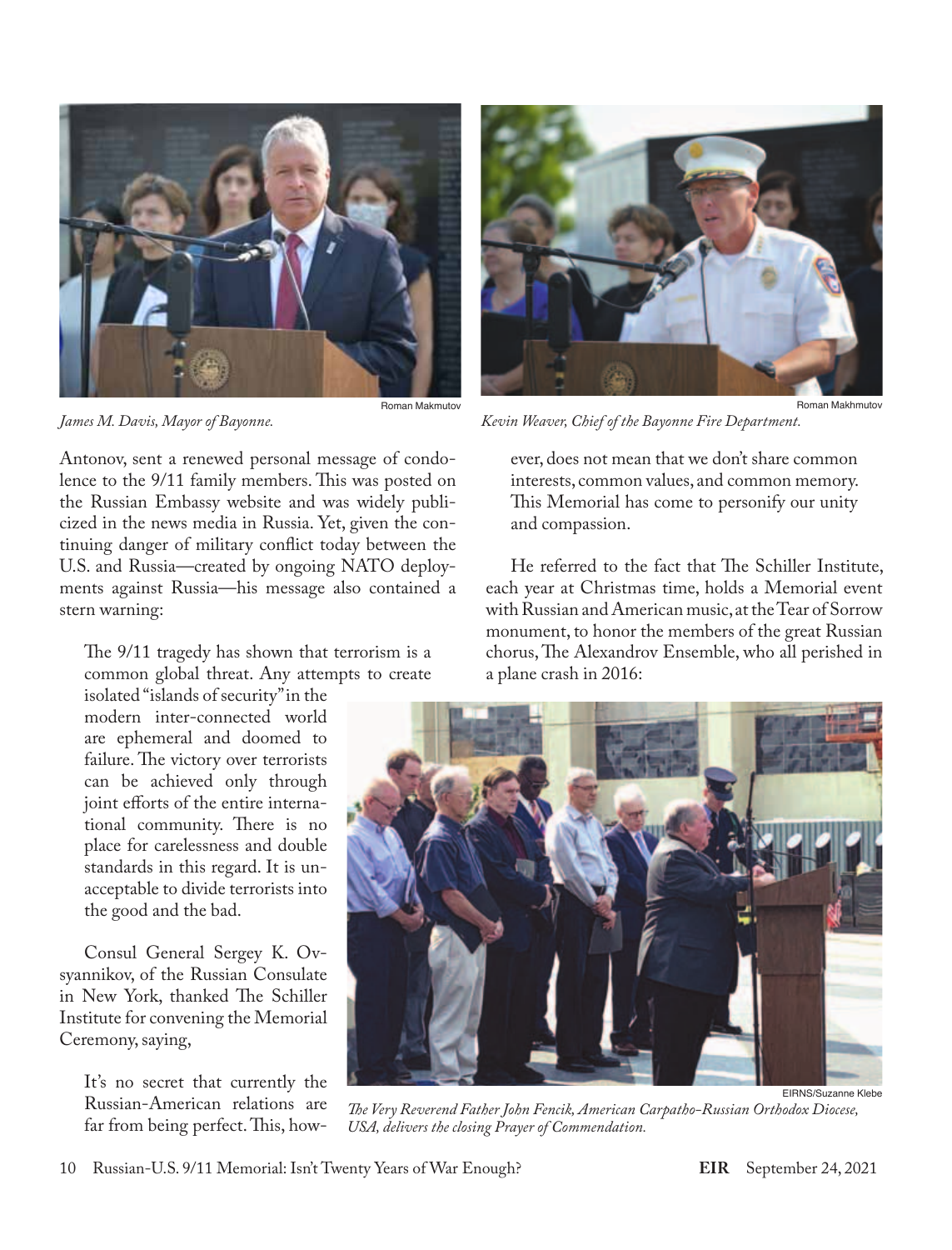

*James M. Davis, Mayor of Bayonne.*

Antonov, sent a renewed personal message of condolence to the 9/11 family members. This was posted on the Russian Embassy website and was widely publicized in the news media in Russia. Yet, given the continuing danger of military conflict today between the U.S. and Russia—created by ongoing NATO deployments against Russia—his message also contained a stern warning:

The 9/11 tragedy has shown that terrorism is a common global threat. Any attempts to create

isolated "islands of security" in the modern inter-connected world are ephemeral and doomed to failure. The victory over terrorists can be achieved only through joint efforts of the entire international community. There is no place for carelessness and double standards in this regard. It is unacceptable to divide terrorists into the good and the bad.

Consul General Sergey K. Ovsyannikov, of the Russian Consulate in New York, thanked The Schiller Institute for convening the Memorial Ceremony, saying,

It's no secret that currently the Russian-American relations are far from being perfect. This, how-



*Kevin Weaver, Chief of the Bayonne Fire Department.*

ever, does not mean that we don't share common interests, common values, and common memory. This Memorial has come to personify our unity and compassion.

He referred to the fact that The Schiller Institute, each year at Christmas time, holds a Memorial event with Russian and American music, at the Tear of Sorrow monument, to honor the members of the great Russian chorus, The Alexandrov Ensemble, who all perished in a plane crash in 2016:



*The Very Reverend Father John Fencik, American Carpatho-Russian Orthodox Diocese, USA, delivers the closing Prayer of Commendation.*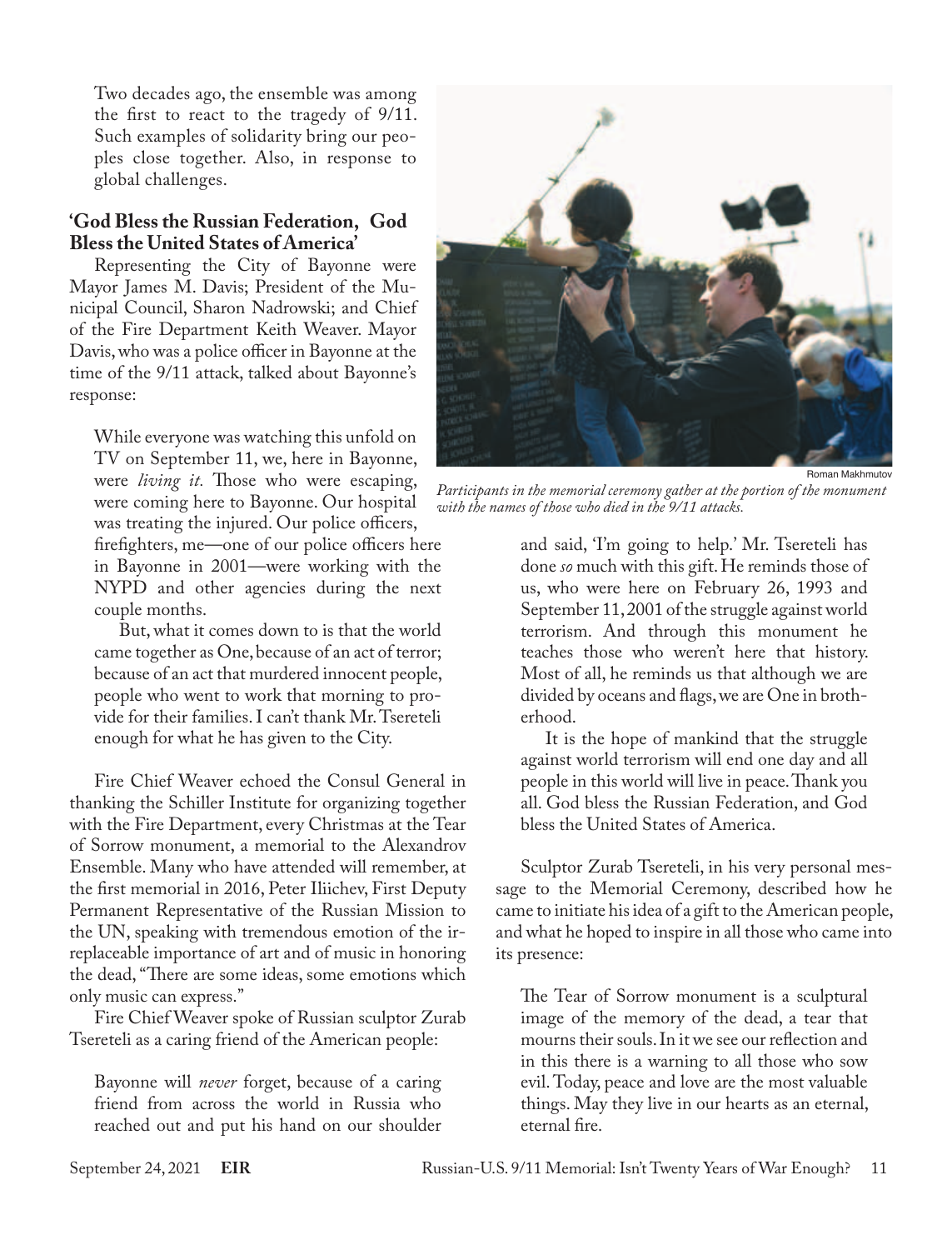Two decades ago, the ensemble was among the first to react to the tragedy of 9/11. Such examples of solidarity bring our peoples close together. Also, in response to global challenges.

#### **'God Bless the Russian Federation, God Bless the United States of America'**

Representing the City of Bayonne were Mayor James M. Davis; President of the Municipal Council, Sharon Nadrowski; and Chief of the Fire Department Keith Weaver. Mayor Davis, who was a police officer in Bayonne at the time of the 9/11 attack, talked about Bayonne's response:

While everyone was watching this unfold on TV on September 11, we, here in Bayonne, were *living it.* Those who were escaping, were coming here to Bayonne. Our hospital was treating the injured. Our police officers,

firefighters, me—one of our police officers here in Bayonne in 2001—were working with the NYPD and other agencies during the next couple months.

But, what it comes down to is that the world came together as One, because of an act of terror; because of an act that murdered innocent people, people who went to work that morning to provide for their families. I can't thank Mr. Tsereteli enough for what he has given to the City.

Fire Chief Weaver echoed the Consul General in thanking the Schiller Institute for organizing together with the Fire Department, every Christmas at the Tear of Sorrow monument, a memorial to the Alexandrov Ensemble. Many who have attended will remember, at the first memorial in 2016, Peter Iliichev, First Deputy Permanent Representative of the Russian Mission to the UN, speaking with tremendous emotion of the irreplaceable importance of art and of music in honoring the dead, "There are some ideas, some emotions which only music can express."

Fire Chief Weaver spoke of Russian sculptor Zurab Tsereteli as a caring friend of the American people:

Bayonne will *never* forget, because of a caring friend from across the world in Russia who reached out and put his hand on our shoulder



*Participants in the memorial ceremony gather at the portion of the monument with the names of those who died in the 9/11 attacks.*

and said, 'I'm going to help.' Mr. Tsereteli has done *so* much with this gift. He reminds those of us, who were here on February 26, 1993 and September 11, 2001 of the struggle against world terrorism. And through this monument he teaches those who weren't here that history. Most of all, he reminds us that although we are divided by oceans and flags, we are One in brotherhood.

It is the hope of mankind that the struggle against world terrorism will end one day and all people in this world will live in peace. Thank you all. God bless the Russian Federation, and God bless the United States of America.

Sculptor Zurab Tsereteli, in his very personal message to the Memorial Ceremony, described how he came to initiate his idea of a gift to the American people, and what he hoped to inspire in all those who came into its presence:

The Tear of Sorrow monument is a sculptural image of the memory of the dead, a tear that mourns their souls. In it we see our reflection and in this there is a warning to all those who sow evil. Today, peace and love are the most valuable things. May they live in our hearts as an eternal, eternal fire.